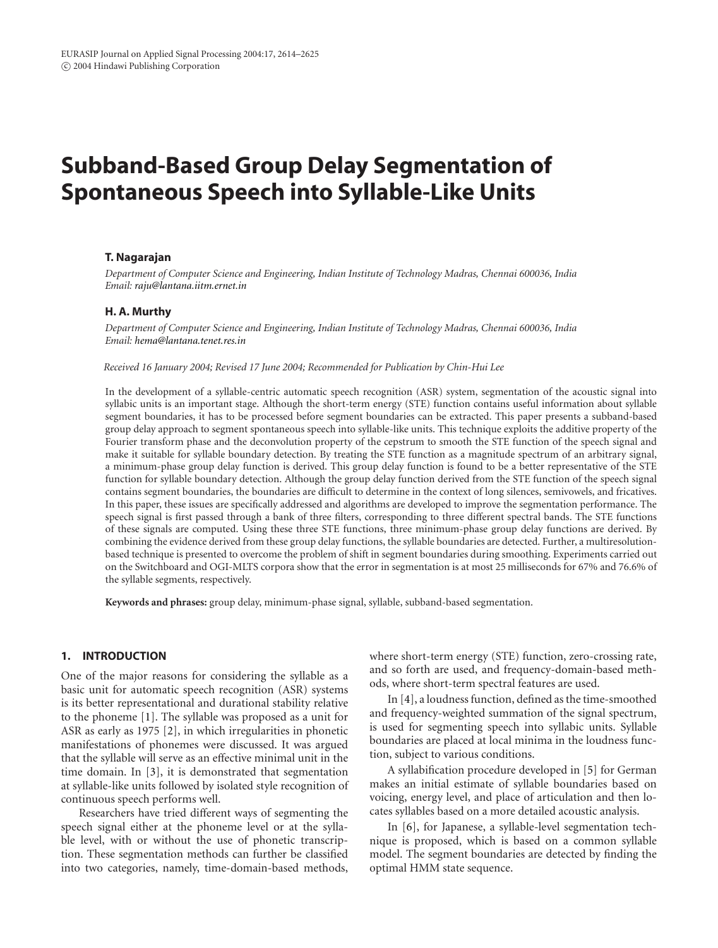# **Subband-Based Group Delay Segmentation of Spontaneous Speech into Syllable-Like Units**

### **T. Nagarajan**

*Department of Computer Science and Engineering, Indian Institute of Technology Madras, Chennai 600036, India Email: [raju@lantana.iitm.ernet.in](mailto:raju@lantana.iitm.ernet.in)*

#### **H. A. Murthy**

*Department of Computer Science and Engineering, Indian Institute of Technology Madras, Chennai 600036, India Email: [hema@lantana.tenet.res.in](mailto:hema@lantana.tenet.res.in)*

*Received 16 January 2004; Revised 17 June 2004; Recommended for Publication by Chin-Hui Lee*

In the development of a syllable-centric automatic speech recognition (ASR) system, segmentation of the acoustic signal into syllabic units is an important stage. Although the short-term energy (STE) function contains useful information about syllable segment boundaries, it has to be processed before segment boundaries can be extracted. This paper presents a subband-based group delay approach to segment spontaneous speech into syllable-like units. This technique exploits the additive property of the Fourier transform phase and the deconvolution property of the cepstrum to smooth the STE function of the speech signal and make it suitable for syllable boundary detection. By treating the STE function as a magnitude spectrum of an arbitrary signal, a minimum-phase group delay function is derived. This group delay function is found to be a better representative of the STE function for syllable boundary detection. Although the group delay function derived from the STE function of the speech signal contains segment boundaries, the boundaries are difficult to determine in the context of long silences, semivowels, and fricatives. In this paper, these issues are specifically addressed and algorithms are developed to improve the segmentation performance. The speech signal is first passed through a bank of three filters, corresponding to three different spectral bands. The STE functions of these signals are computed. Using these three STE functions, three minimum-phase group delay functions are derived. By combining the evidence derived from these group delay functions, the syllable boundaries are detected. Further, a multiresolutionbased technique is presented to overcome the problem of shift in segment boundaries during smoothing. Experiments carried out on the Switchboard and OGI-MLTS corpora show that the error in segmentation is at most 25 milliseconds for 67% and 76.6% of the syllable segments, respectively.

**Keywords and phrases:** group delay, minimum-phase signal, syllable, subband-based segmentation.

## **1. INTRODUCTION**

One of the major reasons for considering the syllable as a basic unit for automatic speech recognition (ASR) systems is its better representational and durational stability relative to the phoneme [\[1\]](#page-10-0). The syllable was proposed as a unit for ASR as early as 1975 [\[2\]](#page-10-1), in which irregularities in phonetic manifestations of phonemes were discussed. It was argued that the syllable will serve as an effective minimal unit in the time domain. In [\[3](#page-10-2)], it is demonstrated that segmentation at syllable-like units followed by isolated style recognition of continuous speech performs well.

Researchers have tried different ways of segmenting the speech signal either at the phoneme level or at the syllable level, with or without the use of phonetic transcription. These segmentation methods can further be classified into two categories, namely, time-domain-based methods,

where short-term energy (STE) function, zero-crossing rate, and so forth are used, and frequency-domain-based methods, where short-term spectral features are used.

In [\[4\]](#page-10-3), a loudness function, defined as the time-smoothed and frequency-weighted summation of the signal spectrum, is used for segmenting speech into syllabic units. Syllable boundaries are placed at local minima in the loudness function, subject to various conditions.

A syllabification procedure developed in [\[5\]](#page-11-0) for German makes an initial estimate of syllable boundaries based on voicing, energy level, and place of articulation and then locates syllables based on a more detailed acoustic analysis.

In [\[6\]](#page-11-1), for Japanese, a syllable-level segmentation technique is proposed, which is based on a common syllable model. The segment boundaries are detected by finding the optimal HMM state sequence.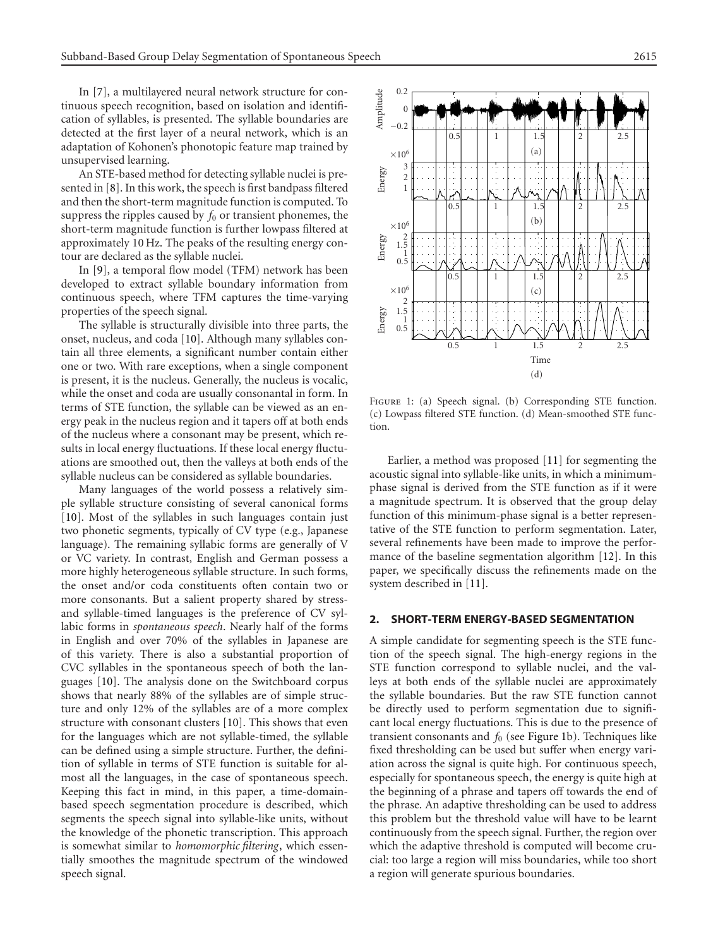In [\[7\]](#page-11-2), a multilayered neural network structure for continuous speech recognition, based on isolation and identification of syllables, is presented. The syllable boundaries are detected at the first layer of a neural network, which is an adaptation of Kohonen's phonotopic feature map trained by unsupervised learning.

An STE-based method for detecting syllable nuclei is presented in [\[8\]](#page-11-3). In this work, the speech is first bandpass filtered and then the short-term magnitude function is computed. To suppress the ripples caused by  $f_0$  or transient phonemes, the short-term magnitude function is further lowpass filtered at approximately 10 Hz. The peaks of the resulting energy contour are declared as the syllable nuclei.

In [\[9\]](#page-11-4), a temporal flow model (TFM) network has been developed to extract syllable boundary information from continuous speech, where TFM captures the time-varying properties of the speech signal.

The syllable is structurally divisible into three parts, the onset, nucleus, and coda [\[10](#page-11-5)]. Although many syllables contain all three elements, a significant number contain either one or two. With rare exceptions, when a single component is present, it is the nucleus. Generally, the nucleus is vocalic, while the onset and coda are usually consonantal in form. In terms of STE function, the syllable can be viewed as an energy peak in the nucleus region and it tapers off at both ends of the nucleus where a consonant may be present, which results in local energy fluctuations. If these local energy fluctuations are smoothed out, then the valleys at both ends of the syllable nucleus can be considered as syllable boundaries.

Many languages of the world possess a relatively simple syllable structure consisting of several canonical forms [\[10](#page-11-5)]. Most of the syllables in such languages contain just two phonetic segments, typically of CV type (e.g., Japanese language). The remaining syllabic forms are generally of V or VC variety. In contrast, English and German possess a more highly heterogeneous syllable structure. In such forms, the onset and/or coda constituents often contain two or more consonants. But a salient property shared by stressand syllable-timed languages is the preference of CV syllabic forms in *spontaneous speech*. Nearly half of the forms in English and over 70% of the syllables in Japanese are of this variety. There is also a substantial proportion of CVC syllables in the spontaneous speech of both the languages [\[10](#page-11-5)]. The analysis done on the Switchboard corpus shows that nearly 88% of the syllables are of simple structure and only 12% of the syllables are of a more complex structure with consonant clusters [\[10](#page-11-5)]. This shows that even for the languages which are not syllable-timed, the syllable can be defined using a simple structure. Further, the definition of syllable in terms of STE function is suitable for almost all the languages, in the case of spontaneous speech. Keeping this fact in mind, in this paper, a time-domainbased speech segmentation procedure is described, which segments the speech signal into syllable-like units, without the knowledge of the phonetic transcription. This approach is somewhat similar to *homomorphic filtering*, which essentially smoothes the magnitude spectrum of the windowed speech signal.



<span id="page-1-0"></span>FIGURE 1: (a) Speech signal. (b) Corresponding STE function. (c) Lowpass filtered STE function. (d) Mean-smoothed STE function.

Earlier, a method was proposed [\[11\]](#page-11-6) for segmenting the acoustic signal into syllable-like units, in which a minimumphase signal is derived from the STE function as if it were a magnitude spectrum. It is observed that the group delay function of this minimum-phase signal is a better representative of the STE function to perform segmentation. Later, several refinements have been made to improve the performance of the baseline segmentation algorithm [\[12](#page-11-7)]. In this paper, we specifically discuss the refinements made on the system described in [\[11](#page-11-6)].

## <span id="page-1-1"></span>**2. SHORT-TERM ENERGY-BASED SEGMENTATION**

A simple candidate for segmenting speech is the STE function of the speech signal. The high-energy regions in the STE function correspond to syllable nuclei, and the valleys at both ends of the syllable nuclei are approximately the syllable boundaries. But the raw STE function cannot be directly used to perform segmentation due to significant local energy fluctuations. This is due to the presence of transient consonants and  $f_0$  (see [Figure 1b](#page-1-0)). Techniques like fixed thresholding can be used but suffer when energy variation across the signal is quite high. For continuous speech, especially for spontaneous speech, the energy is quite high at the beginning of a phrase and tapers off towards the end of the phrase. An adaptive thresholding can be used to address this problem but the threshold value will have to be learnt continuously from the speech signal. Further, the region over which the adaptive threshold is computed will become crucial: too large a region will miss boundaries, while too short a region will generate spurious boundaries.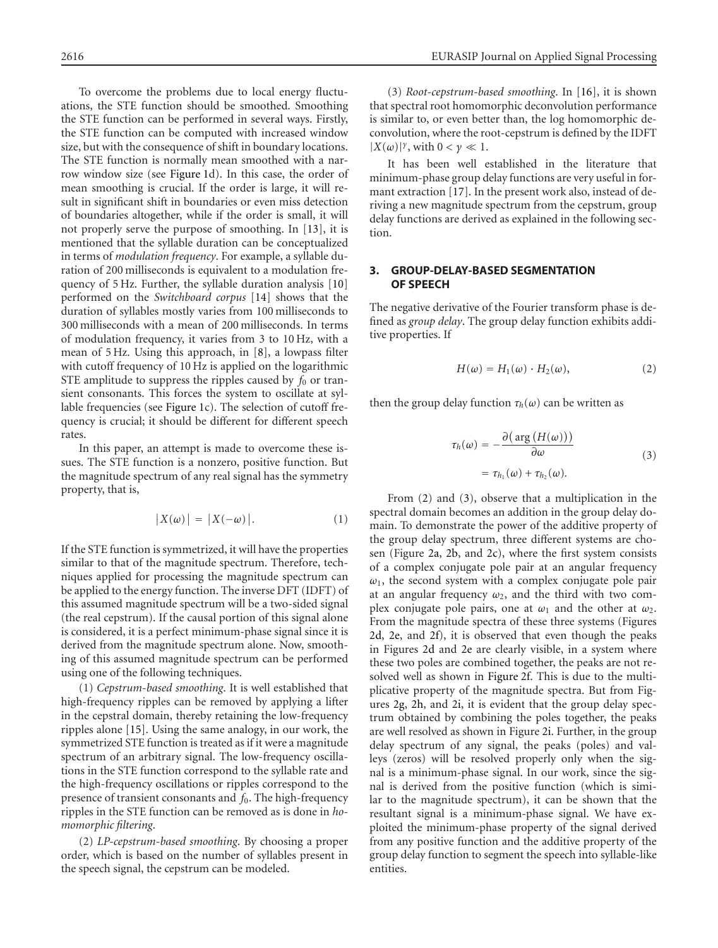To overcome the problems due to local energy fluctuations, the STE function should be smoothed. Smoothing the STE function can be performed in several ways. Firstly, the STE function can be computed with increased window size, but with the consequence of shift in boundary locations. The STE function is normally mean smoothed with a narrow window size (see [Figure 1d](#page-1-0)). In this case, the order of mean smoothing is crucial. If the order is large, it will result in significant shift in boundaries or even miss detection of boundaries altogether, while if the order is small, it will not properly serve the purpose of smoothing. In [\[13](#page-11-8)], it is mentioned that the syllable duration can be conceptualized in terms of *modulation frequency*. For example, a syllable duration of 200 milliseconds is equivalent to a modulation frequency of 5 Hz. Further, the syllable duration analysis [\[10](#page-11-5)] performed on the *Switchboard corpus* [\[14\]](#page-11-9) shows that the duration of syllables mostly varies from 100 milliseconds to 300 milliseconds with a mean of 200 milliseconds. In terms of modulation frequency, it varies from 3 to 10 Hz, with a mean of 5 Hz. Using this approach, in [\[8](#page-11-3)], a lowpass filter with cutoff frequency of 10 Hz is applied on the logarithmic STE amplitude to suppress the ripples caused by  $f_0$  or transient consonants. This forces the system to oscillate at syllable frequencies (see [Figure 1c](#page-1-0)). The selection of cutoff frequency is crucial; it should be different for different speech rates.

In this paper, an attempt is made to overcome these issues. The STE function is a nonzero, positive function. But the magnitude spectrum of any real signal has the symmetry property, that is,

$$
|X(\omega)| = |X(-\omega)|. \tag{1}
$$

If the STE function is symmetrized, it will have the properties similar to that of the magnitude spectrum. Therefore, techniques applied for processing the magnitude spectrum can be applied to the energy function. The inverse DFT (IDFT) of this assumed magnitude spectrum will be a two-sided signal (the real cepstrum). If the causal portion of this signal alone is considered, it is a perfect minimum-phase signal since it is derived from the magnitude spectrum alone. Now, smoothing of this assumed magnitude spectrum can be performed using one of the following techniques.

(1) *Cepstrum-based smoothing*. It is well established that high-frequency ripples can be removed by applying a lifter in the cepstral domain, thereby retaining the low-frequency ripples alone [\[15](#page-11-10)]. Using the same analogy, in our work, the symmetrized STE function is treated as if it were a magnitude spectrum of an arbitrary signal. The low-frequency oscillations in the STE function correspond to the syllable rate and the high-frequency oscillations or ripples correspond to the presence of transient consonants and  $f_0$ . The high-frequency ripples in the STE function can be removed as is done in *homomorphic filtering*.

(2) *LP-cepstrum-based smoothing*. By choosing a proper order, which is based on the number of syllables present in the speech signal, the cepstrum can be modeled.

(3) *Root-cepstrum-based smoothing*. In [\[16](#page-11-11)], it is shown that spectral root homomorphic deconvolution performance is similar to, or even better than, the log homomorphic deconvolution, where the root-cepstrum is defined by the IDFT  $|X(\omega)|^{\gamma}$ , with  $0 < \gamma \ll 1$ .

It has been well established in the literature that minimum-phase group delay functions are very useful in formant extraction [\[17](#page-11-12)]. In the present work also, instead of deriving a new magnitude spectrum from the cepstrum, group delay functions are derived as explained in the following section.

## <span id="page-2-2"></span>**3. GROUP-DELAY-BASED SEGMENTATION OF SPEECH**

<span id="page-2-0"></span>The negative derivative of the Fourier transform phase is defined as *group delay*. The group delay function exhibits additive properties. If

<span id="page-2-1"></span>
$$
H(\omega) = H_1(\omega) \cdot H_2(\omega), \tag{2}
$$

then the group delay function  $\tau_h(\omega)$  can be written as

$$
\tau_h(\omega) = -\frac{\partial(\arg(H(\omega)))}{\partial \omega}
$$
  
=  $\tau_{h_1}(\omega) + \tau_{h_2}(\omega).$  (3)

From [\(2\)](#page-2-0) and [\(3\)](#page-2-1), observe that a multiplication in the spectral domain becomes an addition in the group delay domain. To demonstrate the power of the additive property of the group delay spectrum, three different systems are chosen (Figure [2a,](#page-3-0) [2b,](#page-3-1) and [2c\)](#page-3-2), where the first system consists of a complex conjugate pole pair at an angular frequency  $\omega_1$ , the second system with a complex conjugate pole pair at an angular frequency *ω*2, and the third with two complex conjugate pole pairs, one at  $\omega_1$  and the other at  $\omega_2$ . From the magnitude spectra of these three systems (Figures [2d,](#page-3-3) [2e,](#page-3-4) and [2f\)](#page-3-5), it is observed that even though the peaks in Figures [2d](#page-3-3) and [2e](#page-3-4) are clearly visible, in a system where these two poles are combined together, the peaks are not resolved well as shown in [Figure 2f.](#page-3-5) This is due to the multiplicative property of the magnitude spectra. But from Figures [2g,](#page-3-6) [2h,](#page-3-7) and [2i,](#page-3-8) it is evident that the group delay spectrum obtained by combining the poles together, the peaks are well resolved as shown in Figure [2i.](#page-3-8) Further, in the group delay spectrum of any signal, the peaks (poles) and valleys (zeros) will be resolved properly only when the signal is a minimum-phase signal. In our work, since the signal is derived from the positive function (which is similar to the magnitude spectrum), it can be shown that the resultant signal is a minimum-phase signal. We have exploited the minimum-phase property of the signal derived from any positive function and the additive property of the group delay function to segment the speech into syllable-like entities.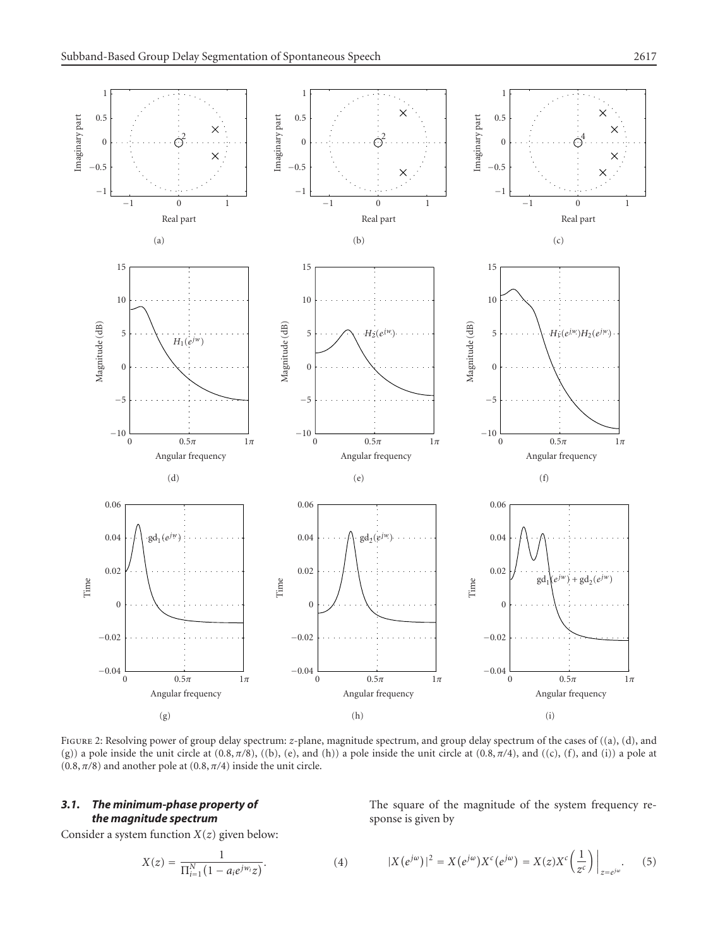<span id="page-3-3"></span><span id="page-3-2"></span><span id="page-3-1"></span><span id="page-3-0"></span>

<span id="page-3-7"></span><span id="page-3-6"></span><span id="page-3-4"></span>FIGURE 2: Resolving power of group delay spectrum: *z*-plane, magnitude spectrum, and group delay spectrum of the cases of ((a), (d), and (g)) a pole inside the unit circle at  $(0.8, \pi/8)$ ,  $((b), (e),$  and  $(h))$  a pole inside the unit circle at  $(0.8, \pi/4)$ , and  $((c), (f),$  and  $(i))$  a pole at  $(0.8, \pi/8)$  and another pole at  $(0.8, \pi/4)$  inside the unit circle.

## <span id="page-3-9"></span>*3.1. The minimum-phase property of the magnitude spectrum*

Consider a system function *X*(*z*) given below:

$$
X(z) = \frac{1}{\prod_{i=1}^{N} (1 - a_i e^{j w_i} z)}.
$$
 (4)

<span id="page-3-8"></span><span id="page-3-5"></span>The square of the magnitude of the system frequency response is given by

$$
|X(e^{j\omega})|^2 = X(e^{j\omega})X^c(e^{j\omega}) = X(z)X^c\left(\frac{1}{z^c}\right)\Big|_{z=e^{j\omega}}.\tag{5}
$$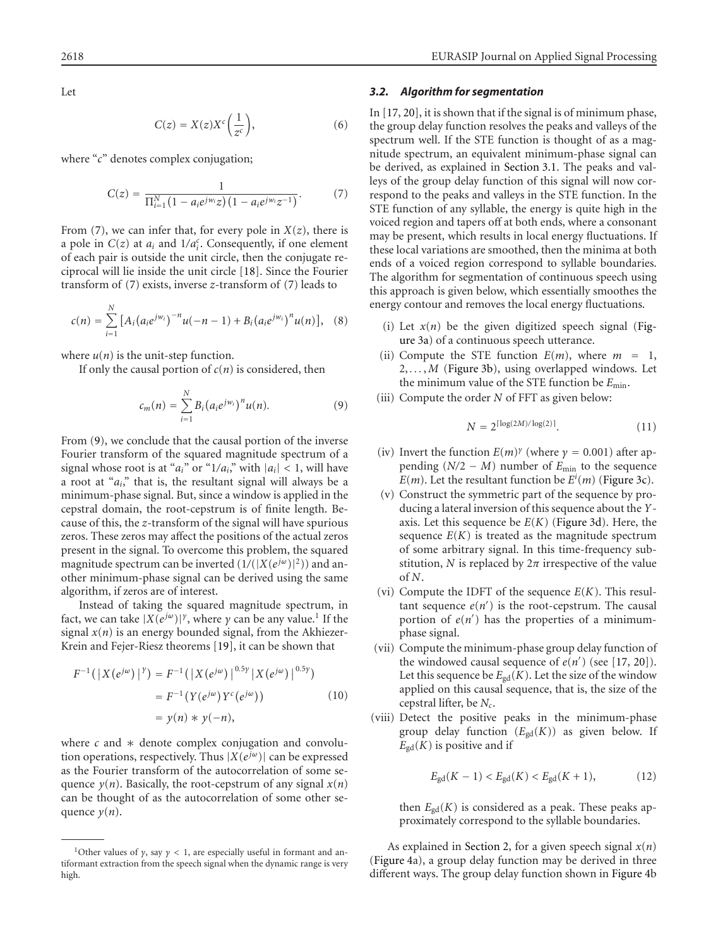Let

<span id="page-4-0"></span>
$$
C(z) = X(z)X^c\left(\frac{1}{z^c}\right),\tag{6}
$$

where "*c*" denotes complex conjugation;

$$
C(z) = \frac{1}{\prod_{i=1}^{N} (1 - a_i e^{j w_i} z)(1 - a_i e^{j w_i} z^{-1})}.
$$
 (7)

From [\(7\)](#page-4-0), we can infer that, for every pole in  $X(z)$ , there is a pole in  $C(z)$  at  $a_i$  and  $1/a_i^c$ . Consequently, if one element of each pair is outside the unit circle, then the conjugate reciprocal will lie inside the unit circle [\[18](#page-11-13)]. Since the Fourier transform of [\(7\)](#page-4-0) exists, inverse *z*-transform of [\(7\)](#page-4-0) leads to

$$
c(n) = \sum_{i=1}^{N} \left[ A_i (a_i e^{j w_i})^{-n} u(-n-1) + B_i (a_i e^{j w_i})^n u(n) \right], \quad (8)
$$

where  $u(n)$  is the unit-step function.

If only the causal portion of  $c(n)$  is considered, then

<span id="page-4-1"></span>
$$
c_m(n) = \sum_{i=1}^{N} B_i (a_i e^{j w_i})^n u(n).
$$
 (9)

From [\(9\)](#page-4-1), we conclude that the causal portion of the inverse Fourier transform of the squared magnitude spectrum of a signal whose root is at " $a_i$ " or " $1/a_i$ ," with  $|a_i| < 1$ , will have a root at "*a<sup>i</sup>* ," that is, the resultant signal will always be a minimum-phase signal. But, since a window is applied in the cepstral domain, the root-cepstrum is of finite length. Because of this, the *z*-transform of the signal will have spurious zeros. These zeros may affect the positions of the actual zeros present in the signal. To overcome this problem, the squared magnitude spectrum can be inverted  $(1/(|X(e^{j\omega})|^2))$  and another minimum-phase signal can be derived using the same algorithm, if zeros are of interest.

Instead of taking the squared magnitude spectrum, in fact, we can take  $|X(e^{j\omega})|^{\gamma}$ , where  $\gamma$  can be any value.<sup>1</sup> If the signal  $x(n)$  is an energy bounded signal, from the Akhiezer-Krein and Fejer-Riesz theorems [\[19](#page-11-14)], it can be shown that

$$
F^{-1}(|X(e^{j\omega})|^{\gamma}) = F^{-1}(|X(e^{j\omega})|^{0.5\gamma} |X(e^{j\omega})|^{0.5\gamma})
$$
  
=  $F^{-1}(Y(e^{j\omega})Y^c(e^{j\omega}))$  (10)  
=  $y(n) * y(-n)$ ,

where *c* and ∗ denote complex conjugation and convolution operations, respectively. Thus  $|X(e^{j\omega})|$  can be expressed as the Fourier transform of the autocorrelation of some sequence  $y(n)$ . Basically, the root-cepstrum of any signal  $x(n)$ can be thought of as the autocorrelation of some other sequence  $\nu(n)$ .

## *3.2. Algorithm for segmentation*

In [\[17,](#page-11-12) [20\]](#page-11-15), it is shown that if the signal is of minimum phase, the group delay function resolves the peaks and valleys of the spectrum well. If the STE function is thought of as a magnitude spectrum, an equivalent minimum-phase signal can be derived, as explained in [Section 3.1.](#page-3-9) The peaks and valleys of the group delay function of this signal will now correspond to the peaks and valleys in the STE function. In the STE function of any syllable, the energy is quite high in the voiced region and tapers off at both ends, where a consonant may be present, which results in local energy fluctuations. If these local variations are smoothed, then the minima at both ends of a voiced region correspond to syllable boundaries. The algorithm for segmentation of continuous speech using this approach is given below, which essentially smoothes the energy contour and removes the local energy fluctuations.

- (i) Let  $x(n)$  be the given digitized speech signal [\(Fig](#page-5-0)[ure 3a\)](#page-5-0) of a continuous speech utterance.
- (ii) Compute the STE function  $E(m)$ , where  $m = 1$ , 2, *...* , *M* [\(Figure 3b\)](#page-5-1), using overlapped windows. Let the minimum value of the STE function be *E*min.
- (iii) Compute the order *N* of FFT as given below:

$$
N = 2^{\lceil \log(2M)/\log(2) \rceil}.
$$
 (11)

- (iv) Invert the function  $E(m)^\gamma$  (where  $\gamma = 0.001$ ) after appending  $(N/2 - M)$  number of  $E_{\text{min}}$  to the sequence  $E(m)$ . Let the resultant function be  $E^i(m)$  [\(Figure 3c\)](#page-5-2).
- (v) Construct the symmetric part of the sequence by producing a lateral inversion of this sequence about the *Y*axis. Let this sequence be *E*(*K*) [\(Figure 3d\)](#page-5-3). Here, the sequence  $E(K)$  is treated as the magnitude spectrum of some arbitrary signal. In this time-frequency substitution, *N* is replaced by  $2\pi$  irrespective of the value of *N*.
- (vi) Compute the IDFT of the sequence  $E(K)$ . This resultant sequence  $e(n')$  is the root-cepstrum. The causal portion of  $e(n')$  has the properties of a minimumphase signal.
- (vii) Compute the minimum-phase group delay function of the windowed causal sequence of  $e(n')$  (see [\[17,](#page-11-12) [20](#page-11-15)]). Let this sequence be  $E_{\text{gd}}(K)$ . Let the size of the window applied on this causal sequence, that is, the size of the cepstral lifter, be *N<sup>c</sup>* .
- (viii) Detect the positive peaks in the minimum-phase group delay function  $(E_{gd}(K))$  as given below. If  $E_{\text{gd}}(K)$  is positive and if

$$
E_{\rm gd}(K-1) < E_{\rm gd}(K) < E_{\rm gd}(K+1),\tag{12}
$$

then  $E_{\text{gd}}(K)$  is considered as a peak. These peaks approximately correspond to the syllable boundaries.

As explained in [Section 2,](#page-1-1) for a given speech signal *x*(*n*) [\(Figure 4a](#page-6-0)), a group delay function may be derived in three different ways. The group delay function shown in [Figure 4b](#page-6-0)

<sup>1</sup>Other values of *γ*, say *γ <* 1, are especially useful in formant and antiformant extraction from the speech signal when the dynamic range is very high.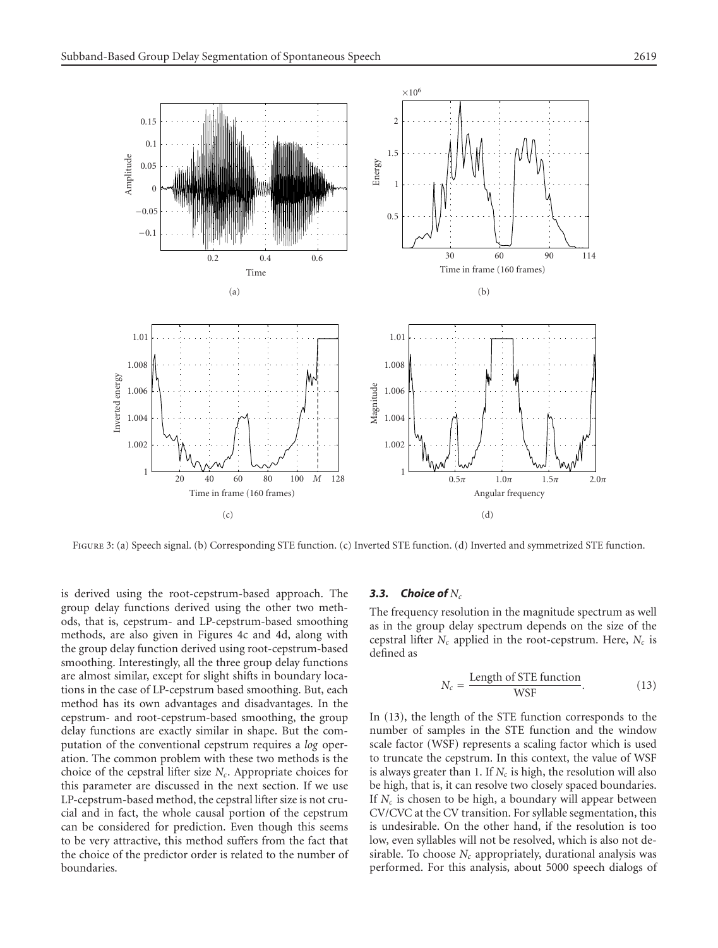<span id="page-5-1"></span><span id="page-5-0"></span>

<span id="page-5-2"></span>FIGURE 3: (a) Speech signal. (b) Corresponding STE function. (c) Inverted STE function. (d) Inverted and symmetrized STE function.

<span id="page-5-5"></span>is derived using the root-cepstrum-based approach. The group delay functions derived using the other two methods, that is, cepstrum- and LP-cepstrum-based smoothing methods, are also given in Figures [4c](#page-6-0) and [4d](#page-6-0), along with the group delay function derived using root-cepstrum-based smoothing. Interestingly, all the three group delay functions are almost similar, except for slight shifts in boundary locations in the case of LP-cepstrum based smoothing. But, each method has its own advantages and disadvantages. In the cepstrum- and root-cepstrum-based smoothing, the group delay functions are exactly similar in shape. But the computation of the conventional cepstrum requires a *log* operation. The common problem with these two methods is the choice of the cepstral lifter size *N<sup>c</sup>* . Appropriate choices for this parameter are discussed in the next section. If we use LP-cepstrum-based method, the cepstral lifter size is not crucial and in fact, the whole causal portion of the cepstrum can be considered for prediction. Even though this seems to be very attractive, this method suffers from the fact that the choice of the predictor order is related to the number of boundaries.

### <span id="page-5-3"></span>*3.3. Choice of N<sup>c</sup>*

<span id="page-5-4"></span>The frequency resolution in the magnitude spectrum as well as in the group delay spectrum depends on the size of the cepstral lifter  $N_c$  applied in the root-cepstrum. Here,  $N_c$  is defined as

$$
N_c = \frac{\text{Length of STE function}}{\text{WSF}}.\tag{13}
$$

In [\(13\)](#page-5-4), the length of the STE function corresponds to the number of samples in the STE function and the window scale factor (WSF) represents a scaling factor which is used to truncate the cepstrum. In this context, the value of WSF is always greater than 1. If *N<sup>c</sup>* is high, the resolution will also be high, that is, it can resolve two closely spaced boundaries. If  $N_c$  is chosen to be high, a boundary will appear between CV/CVC at the CV transition. For syllable segmentation, this is undesirable. On the other hand, if the resolution is too low, even syllables will not be resolved, which is also not desirable. To choose *N<sup>c</sup>* appropriately, durational analysis was performed. For this analysis, about 5000 speech dialogs of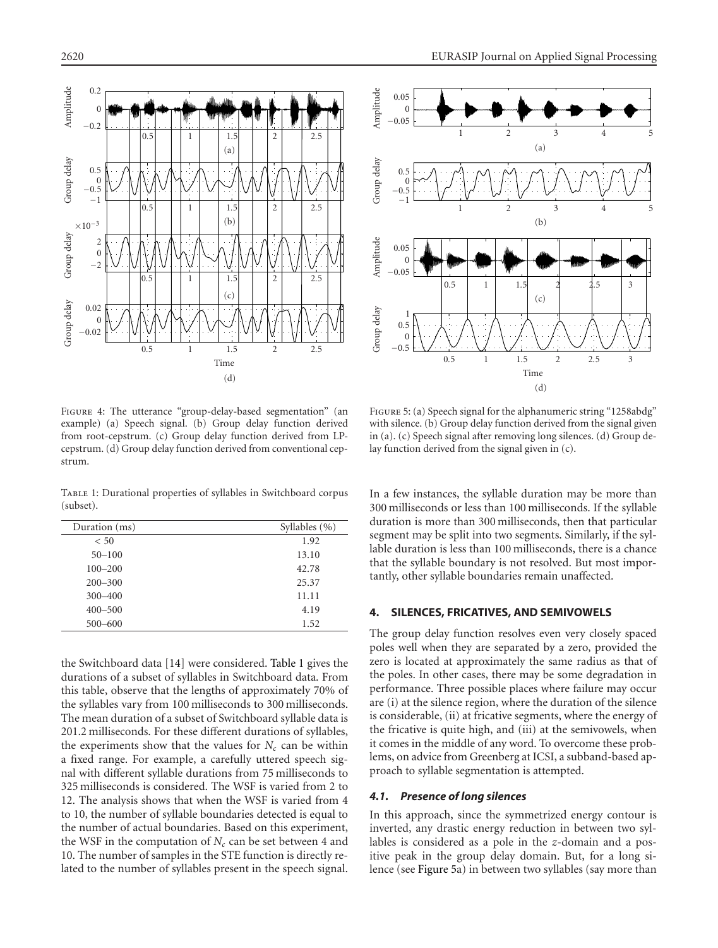

<span id="page-6-0"></span>Figure 4: The utterance "group-delay-based segmentation" (an example) (a) Speech signal. (b) Group delay function derived from root-cepstrum. (c) Group delay function derived from LPcepstrum. (d) Group delay function derived from conventional cepstrum.

<span id="page-6-1"></span>Table 1: Durational properties of syllables in Switchboard corpus (subset).

| Duration (ms) | Syllables (%) |
|---------------|---------------|
| < 50          | 1.92          |
| $50 - 100$    | 13.10         |
| $100 - 200$   | 42.78         |
| $200 - 300$   | 25.37         |
| $300 - 400$   | 11.11         |
| $400 - 500$   | 4.19          |
| $500 - 600$   | 1.52          |

the Switchboard data [\[14](#page-11-9)] were considered. [Table 1](#page-6-1) gives the durations of a subset of syllables in Switchboard data. From this table, observe that the lengths of approximately 70% of the syllables vary from 100 milliseconds to 300 milliseconds. The mean duration of a subset of Switchboard syllable data is 201.2 milliseconds. For these different durations of syllables, the experiments show that the values for  $N_c$  can be within a fixed range. For example, a carefully uttered speech signal with different syllable durations from 75 milliseconds to 325 milliseconds is considered. The WSF is varied from 2 to 12. The analysis shows that when the WSF is varied from 4 to 10, the number of syllable boundaries detected is equal to the number of actual boundaries. Based on this experiment, the WSF in the computation of  $N_c$  can be set between 4 and 10. The number of samples in the STE function is directly related to the number of syllables present in the speech signal.



<span id="page-6-2"></span>Figure 5: (a) Speech signal for the alphanumeric string "1258abdg" with silence. (b) Group delay function derived from the signal given in (a). (c) Speech signal after removing long silences. (d) Group delay function derived from the signal given in (c).

In a few instances, the syllable duration may be more than 300 milliseconds or less than 100 milliseconds. If the syllable duration is more than 300 milliseconds, then that particular segment may be split into two segments. Similarly, if the syllable duration is less than 100 milliseconds, there is a chance that the syllable boundary is not resolved. But most importantly, other syllable boundaries remain unaffected.

### <span id="page-6-4"></span>**4. SILENCES, FRICATIVES, AND SEMIVOWELS**

The group delay function resolves even very closely spaced poles well when they are separated by a zero, provided the zero is located at approximately the same radius as that of the poles. In other cases, there may be some degradation in performance. Three possible places where failure may occur are (i) at the silence region, where the duration of the silence is considerable, (ii) at fricative segments, where the energy of the fricative is quite high, and (iii) at the semivowels, when it comes in the middle of any word. To overcome these problems, on advice from Greenberg at ICSI, a subband-based approach to syllable segmentation is attempted.

## <span id="page-6-3"></span>*4.1. Presence of long silences*

In this approach, since the symmetrized energy contour is inverted, any drastic energy reduction in between two syllables is considered as a pole in the *z*-domain and a positive peak in the group delay domain. But, for a long silence (see [Figure 5a](#page-6-2)) in between two syllables (say more than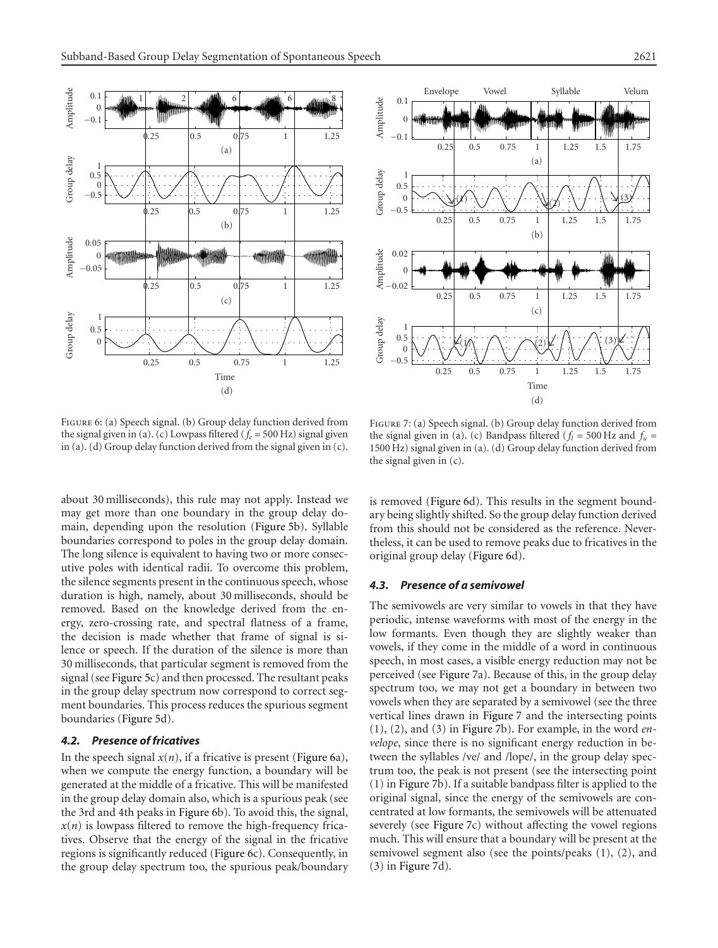



<span id="page-7-0"></span>FIGURE 6: (a) Speech signal. (b) Group delay function derived from the signal given in (a). (c) Lowpass filtered ( $f_c$  = 500 Hz) signal given in (a). (d) Group delay function derived from the signal given in (c).

about 30 milliseconds), this rule may not apply. Instead we may get more than one boundary in the group delay domain, depending upon the resolution [\(Figure 5b](#page-6-2)). Syllable boundaries correspond to poles in the group delay domain. The long silence is equivalent to having two or more consecutive poles with identical radii. To overcome this problem, the silence segments present in the continuous speech, whose duration is high, namely, about 30 milliseconds, should be removed. Based on the knowledge derived from the energy, zero-crossing rate, and spectral flatness of a frame, the decision is made whether that frame of signal is silence or speech. If the duration of the silence is more than 30 milliseconds, that particular segment is removed from the signal (see [Figure 5c](#page-6-2)) and then processed. The resultant peaks in the group delay spectrum now correspond to correct segment boundaries. This process reduces the spurious segment boundaries [\(Figure 5d](#page-6-2)).

## *4.2. Presence of fricatives*

In the speech signal  $x(n)$ , if a fricative is present [\(Figure 6a](#page-7-0)), when we compute the energy function, a boundary will be generated at the middle of a fricative. This will be manifested in the group delay domain also, which is a spurious peak (see the 3rd and 4th peaks in [Figure 6b](#page-7-0)). To avoid this, the signal,  $x(n)$  is lowpass filtered to remove the high-frequency fricatives. Observe that the energy of the signal in the fricative regions is significantly reduced [\(Figure 6c](#page-7-0)). Consequently, in the group delay spectrum too, the spurious peak/boundary

<span id="page-7-1"></span>Figure 7: (a) Speech signal. (b) Group delay function derived from the signal given in (a). (c) Bandpass filtered ( $f_l$  = 500 Hz and  $f_u$  = 1500 Hz) signal given in (a). (d) Group delay function derived from the signal given in (c).

is removed [\(Figure 6d](#page-7-0)). This results in the segment boundary being slightly shifted. So the group delay function derived from this should not be considered as the reference. Nevertheless, it can be used to remove peaks due to fricatives in the original group delay [\(Figure 6d](#page-7-0)).

## *4.3. Presence of a semivowel*

The semivowels are very similar to vowels in that they have periodic, intense waveforms with most of the energy in the low formants. Even though they are slightly weaker than vowels, if they come in the middle of a word in continuous speech, in most cases, a visible energy reduction may not be perceived (see [Figure 7a](#page-7-1)). Because of this, in the group delay spectrum too, we may not get a boundary in between two vowels when they are separated by a semivowel (see the three vertical lines drawn in [Figure 7](#page-7-1) and the intersecting points (1), (2), and (3) in [Figure 7b](#page-7-1)). For example, in the word *envelope*, since there is no significant energy reduction in between the syllables /ve/ and /lope/, in the group delay spectrum too, the peak is not present (see the intersecting point (1) in [Figure 7b](#page-7-1)). If a suitable bandpass filter is applied to the original signal, since the energy of the semivowels are concentrated at low formants, the semivowels will be attenuated severely (see [Figure 7c](#page-7-1)) without affecting the vowel regions much. This will ensure that a boundary will be present at the semivowel segment also (see the points/peaks (1), (2), and (3) in [Figure 7d](#page-7-1)).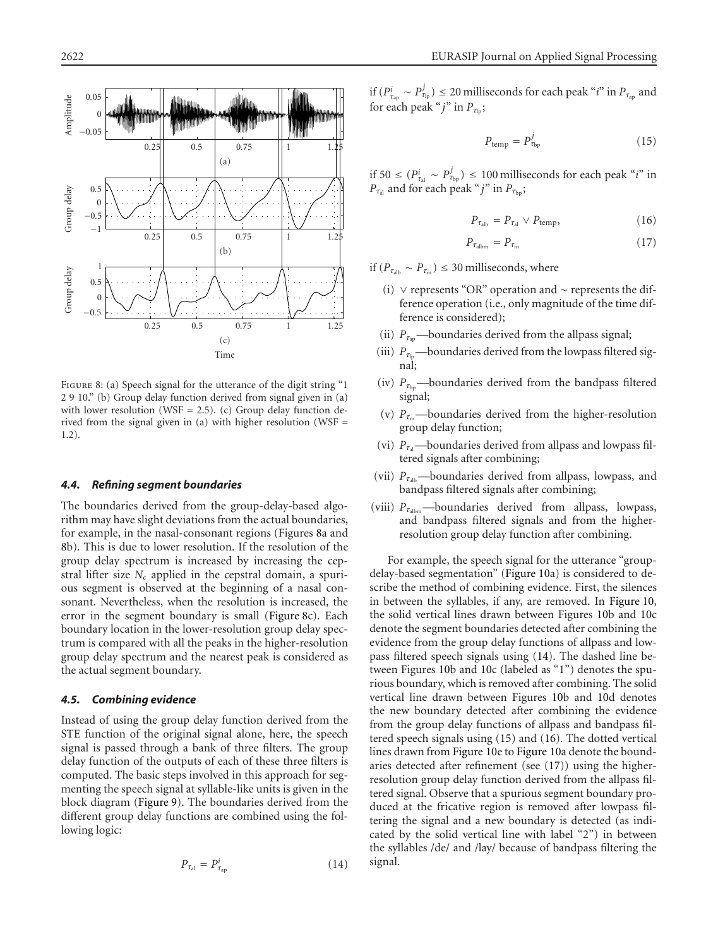

<span id="page-8-0"></span>FIGURE 8: (a) Speech signal for the utterance of the digit string "1 2 9 10." (b) Group delay function derived from signal given in (a) with lower resolution (WSF = 2.5). (c) Group delay function derived from the signal given in (a) with higher resolution (WSF  $=$ 1.2).

## *4.4. Refining segment boundaries*

The boundaries derived from the group-delay-based algorithm may have slight deviations from the actual boundaries, for example, in the nasal-consonant regions (Figures [8a](#page-8-0) and [8b](#page-8-0)). This is due to lower resolution. If the resolution of the group delay spectrum is increased by increasing the cepstral lifter size *N<sup>c</sup>* applied in the cepstral domain, a spurious segment is observed at the beginning of a nasal consonant. Nevertheless, when the resolution is increased, the error in the segment boundary is small [\(Figure 8c](#page-8-0)). Each boundary location in the lower-resolution group delay spectrum is compared with all the peaks in the higher-resolution group delay spectrum and the nearest peak is considered as the actual segment boundary.

## <span id="page-8-5"></span>*4.5. Combining evidence*

<span id="page-8-1"></span>Instead of using the group delay function derived from the STE function of the original signal alone, here, the speech signal is passed through a bank of three filters. The group delay function of the outputs of each of these three filters is computed. The basic steps involved in this approach for segmenting the speech signal at syllable-like units is given in the block diagram [\(Figure 9\)](#page-9-0). The boundaries derived from the different group delay functions are combined using the following logic:

$$
P_{\tau_{\rm al}} = P^i_{\tau_{\rm ap}} \tag{14}
$$

<span id="page-8-2"></span>if  $(P^i_{\tau_{\rm ap}} \sim P^j_{\tau_{\rm lp}}) \leq 20$  milliseconds for each peak "*i*" in  $P_{\tau_{\rm ap}}$  and for each peak " $j$ " in  $P_{\tau_{\text{in}}}$ ;

$$
P_{\text{temp}} = P_{\tau_{\text{bp}}}^j \tag{15}
$$

if 50 ≤ ( $P^i_{\tau_{\rm al}} \sim P^j_{\tau_{\rm bp}}$ ) ≤ 100 milliseconds for each peak "*i*" in  $P_{\tau_{\rm al}}$  and for each peak "*j*" in  $P_{\tau_{\rm bp}}$ ;

<span id="page-8-4"></span><span id="page-8-3"></span>
$$
P_{\tau_{\text{alb}}} = P_{\tau_{\text{al}}} \vee P_{\text{temp}},\tag{16}
$$

$$
P_{\tau_{\text{albm}}} = P_{\tau_{\text{m}}} \tag{17}
$$

if ( $P_{\tau_{\text{alb}}}$  ∼  $P_{\tau_{\text{m}}}$ ) ≤ 30 milliseconds, where

- (i) ∨ represents "OR" operation and ∼ represents the difference operation (i.e., only magnitude of the time difference is considered);
- (ii)  $P_{\tau_{\text{ap}}}$ —boundaries derived from the allpass signal;
- (iii)  $P_{\tau_{lp}}$ —boundaries derived from the lowpass filtered signal;
- (iv)  $P_{\tau_{\text{bp}}}$ —boundaries derived from the bandpass filtered signal;
- (v)  $P_{\tau_m}$ —boundaries derived from the higher-resolution group delay function;
- (vi)  $P_{\tau_a}$ —boundaries derived from allpass and lowpass filtered signals after combining;
- (vii)  $P_{\tau_{ab}}$ —boundaries derived from allpass, lowpass, and bandpass filtered signals after combining;
- (viii)  $P_{\tau_{\text{albm}}}$ —boundaries derived from allpass, lowpass, and bandpass filtered signals and from the higherresolution group delay function after combining.

For example, the speech signal for the utterance "groupdelay-based segmentation" [\(Figure 10a](#page-9-1)) is considered to describe the method of combining evidence. First, the silences in between the syllables, if any, are removed. In [Figure 10,](#page-9-1) the solid vertical lines drawn between Figures [10b](#page-9-1) and [10c](#page-9-1) denote the segment boundaries detected after combining the evidence from the group delay functions of allpass and lowpass filtered speech signals using [\(14\)](#page-8-1). The dashed line between Figures [10b](#page-9-1) and [10c](#page-9-1) (labeled as "1") denotes the spurious boundary, which is removed after combining. The solid vertical line drawn between Figures [10b](#page-9-1) and [10d](#page-9-1) denotes the new boundary detected after combining the evidence from the group delay functions of allpass and bandpass filtered speech signals using [\(15\)](#page-8-2) and [\(16\)](#page-8-3). The dotted vertical lines drawn from [Figure 10e](#page-9-1) to [Figure 10a](#page-9-1) denote the boundaries detected after refinement (see [\(17\)](#page-8-4)) using the higherresolution group delay function derived from the allpass filtered signal. Observe that a spurious segment boundary produced at the fricative region is removed after lowpass filtering the signal and a new boundary is detected (as indicated by the solid vertical line with label "2") in between the syllables /de/ and /lay/ because of bandpass filtering the signal.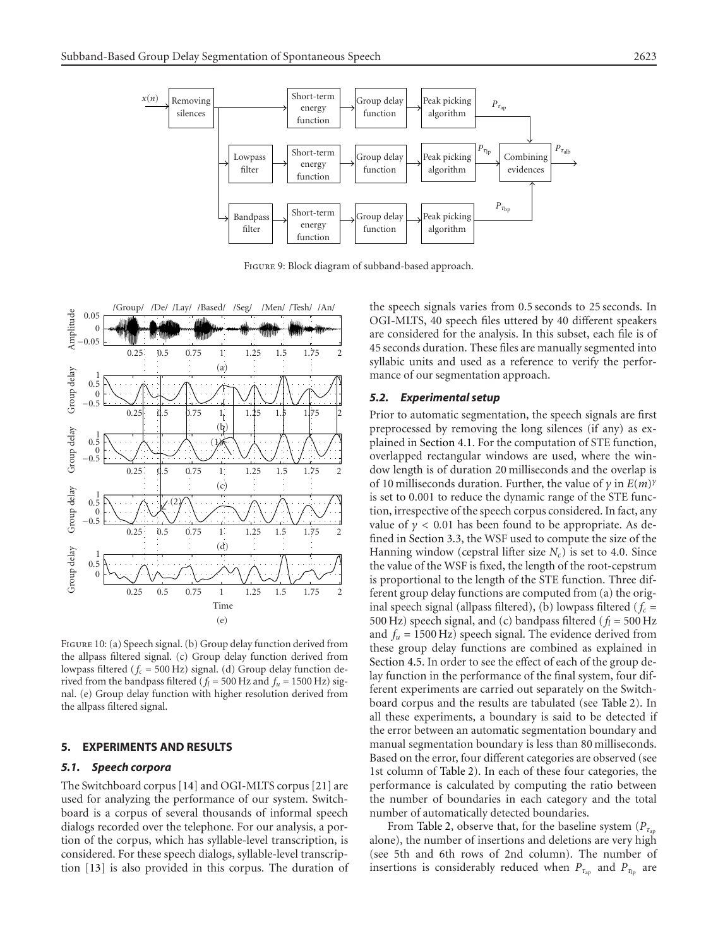

<span id="page-9-0"></span>Figure 9: Block diagram of subband-based approach.



<span id="page-9-1"></span>Figure 10: (a) Speech signal. (b) Group delay function derived from the allpass filtered signal. (c) Group delay function derived from lowpass filtered ( $f_c$  = 500 Hz) signal. (d) Group delay function derived from the bandpass filtered ( $f_l$  = 500 Hz and  $f_u$  = 1500 Hz) signal. (e) Group delay function with higher resolution derived from the allpass filtered signal.

### **5. EXPERIMENTS AND RESULTS**

## *5.1. Speech corpora*

The Switchboard corpus [\[14](#page-11-9)] and OGI-MLTS corpus [\[21\]](#page-11-16) are used for analyzing the performance of our system. Switchboard is a corpus of several thousands of informal speech dialogs recorded over the telephone. For our analysis, a portion of the corpus, which has syllable-level transcription, is considered. For these speech dialogs, syllable-level transcription [\[13](#page-11-8)] is also provided in this corpus. The duration of

the speech signals varies from 0.5 seconds to 25 seconds. In OGI-MLTS, 40 speech files uttered by 40 different speakers are considered for the analysis. In this subset, each file is of 45 seconds duration. These files are manually segmented into syllabic units and used as a reference to verify the performance of our segmentation approach.

#### *5.2. Experimental setup*

Prior to automatic segmentation, the speech signals are first preprocessed by removing the long silences (if any) as explained in [Section 4.1.](#page-6-3) For the computation of STE function, overlapped rectangular windows are used, where the window length is of duration 20 milliseconds and the overlap is of 10 milliseconds duration. Further, the value of  $\gamma$  in  $E(m)^\gamma$ is set to 0.001 to reduce the dynamic range of the STE function, irrespective of the speech corpus considered. In fact, any value of  $\gamma$  < 0.01 has been found to be appropriate. As defined in [Section 3.3,](#page-5-5) the WSF used to compute the size of the Hanning window (cepstral lifter size  $N_c$ ) is set to 4.0. Since the value of the WSF is fixed, the length of the root-cepstrum is proportional to the length of the STE function. Three different group delay functions are computed from (a) the original speech signal (allpass filtered), (b) lowpass filtered ( $f_c$  = 500 Hz) speech signal, and (c) bandpass filtered (*f<sup>l</sup>* = 500 Hz and  $f_u = 1500$  Hz) speech signal. The evidence derived from these group delay functions are combined as explained in [Section 4.5.](#page-8-5) In order to see the effect of each of the group delay function in the performance of the final system, four different experiments are carried out separately on the Switchboard corpus and the results are tabulated (see [Table 2\)](#page-10-4). In all these experiments, a boundary is said to be detected if the error between an automatic segmentation boundary and manual segmentation boundary is less than 80 milliseconds. Based on the error, four different categories are observed (see 1st column of [Table 2\)](#page-10-4). In each of these four categories, the performance is calculated by computing the ratio between the number of boundaries in each category and the total number of automatically detected boundaries.

From [Table 2,](#page-10-4) observe that, for the baseline system ( $P_{\tau_{ap}}$ ) alone), the number of insertions and deletions are very high (see 5th and 6th rows of 2nd column). The number of insertions is considerably reduced when  $P_{\tau_{ap}}$  and  $P_{\tau_{lp}}$  are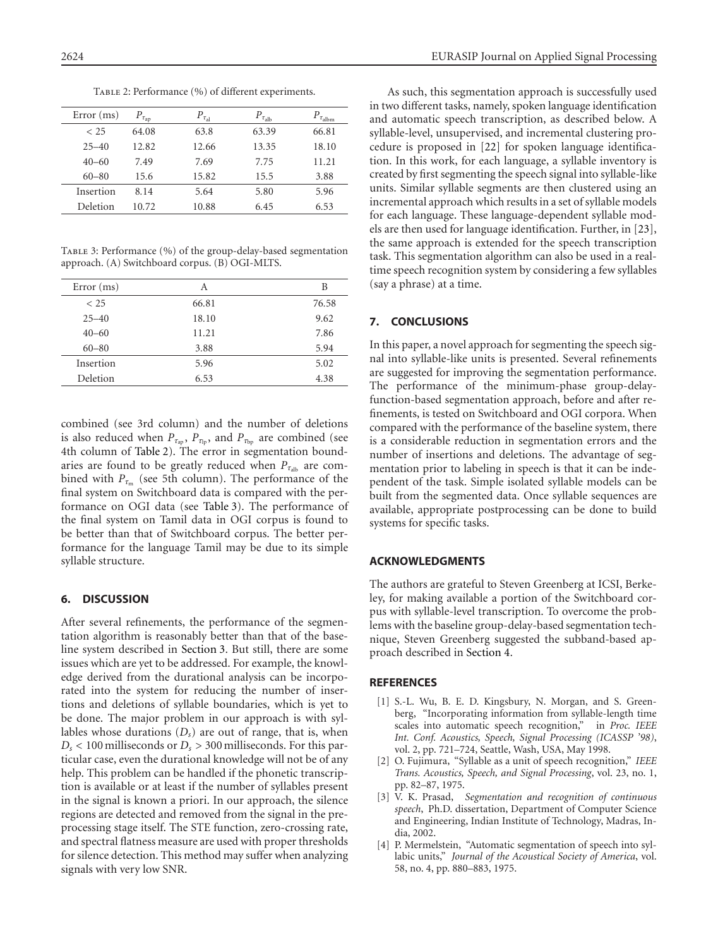TABLE 2: Performance (%) of different experiments.

<span id="page-10-4"></span>

| Error (ms) | $P_{\tau_{\rm ap}}$ | $P_{\tau_{\rm al}}$ | $P_{\tau_{\rm alb}}$ | $\tau_{\rm album}$ |
|------------|---------------------|---------------------|----------------------|--------------------|
| < 25       | 64.08               | 63.8                | 63.39                | 66.81              |
| $25 - 40$  | 12.82               | 12.66               | 13.35                | 18.10              |
| $40 - 60$  | 7.49                | 7.69                | 7.75                 | 11.21              |
| $60 - 80$  | 15.6                | 15.82               | 15.5                 | 3.88               |
| Insertion  | 8.14                | 5.64                | 5.80                 | 5.96               |
| Deletion   | 10.72               | 10.88               | 6.45                 | 6.53               |

<span id="page-10-5"></span>Table 3: Performance (%) of the group-delay-based segmentation approach. (A) Switchboard corpus. (B) OGI-MLTS.

| Error (ms) | А     | В     |
|------------|-------|-------|
| < 25       | 66.81 | 76.58 |
| $25 - 40$  | 18.10 | 9.62  |
| $40 - 60$  | 11.21 | 7.86  |
| $60 - 80$  | 3.88  | 5.94  |
| Insertion  | 5.96  | 5.02  |
| Deletion   | 6.53  | 4.38  |
|            |       |       |

combined (see 3rd column) and the number of deletions is also reduced when  $P_{\tau_{ap}}$ ,  $P_{\tau_{lp}}$ , and  $P_{\tau_{bp}}$  are combined (see 4th column of [Table 2\)](#page-10-4). The error in segmentation boundaries are found to be greatly reduced when  $P_{\tau_{\text{alb}}}$  are combined with  $P_{\tau_{\rm m}}$  (see 5th column). The performance of the final system on Switchboard data is compared with the performance on OGI data (see [Table 3\)](#page-10-5). The performance of the final system on Tamil data in OGI corpus is found to be better than that of Switchboard corpus. The better performance for the language Tamil may be due to its simple syllable structure.

### **6. DISCUSSION**

After several refinements, the performance of the segmentation algorithm is reasonably better than that of the baseline system described in [Section 3.](#page-2-2) But still, there are some issues which are yet to be addressed. For example, the knowledge derived from the durational analysis can be incorporated into the system for reducing the number of insertions and deletions of syllable boundaries, which is yet to be done. The major problem in our approach is with syllables whose durations  $(D_s)$  are out of range, that is, when  $D<sub>s</sub>$  < 100 milliseconds or  $D<sub>s</sub>$  > 300 milliseconds. For this particular case, even the durational knowledge will not be of any help. This problem can be handled if the phonetic transcription is available or at least if the number of syllables present in the signal is known a priori. In our approach, the silence regions are detected and removed from the signal in the preprocessing stage itself. The STE function, zero-crossing rate, and spectral flatness measure are used with proper thresholds for silence detection. This method may suffer when analyzing signals with very low SNR.

As such, this segmentation approach is successfully used in two different tasks, namely, spoken language identification and automatic speech transcription, as described below. A syllable-level, unsupervised, and incremental clustering procedure is proposed in [\[22\]](#page-11-17) for spoken language identification. In this work, for each language, a syllable inventory is created by first segmenting the speech signal into syllable-like units. Similar syllable segments are then clustered using an incremental approach which results in a set of syllable models for each language. These language-dependent syllable models are then used for language identification. Further, in [\[23](#page-11-18)], the same approach is extended for the speech transcription task. This segmentation algorithm can also be used in a realtime speech recognition system by considering a few syllables (say a phrase) at a time.

## **7. CONCLUSIONS**

In this paper, a novel approach for segmenting the speech signal into syllable-like units is presented. Several refinements are suggested for improving the segmentation performance. The performance of the minimum-phase group-delayfunction-based segmentation approach, before and after refinements, is tested on Switchboard and OGI corpora. When compared with the performance of the baseline system, there is a considerable reduction in segmentation errors and the number of insertions and deletions. The advantage of segmentation prior to labeling in speech is that it can be independent of the task. Simple isolated syllable models can be built from the segmented data. Once syllable sequences are available, appropriate postprocessing can be done to build systems for specific tasks.

## **ACKNOWLEDGMENTS**

The authors are grateful to Steven Greenberg at ICSI, Berkeley, for making available a portion of the Switchboard corpus with syllable-level transcription. To overcome the problems with the baseline group-delay-based segmentation technique, Steven Greenberg suggested the subband-based approach described in [Section 4.](#page-6-4)

#### <span id="page-10-0"></span>**REFERENCES**

- [1] S.-L. Wu, B. E. D. Kingsbury, N. Morgan, and S. Greenberg, "Incorporating information from syllable-length time scales into automatic speech recognition," in *Proc. IEEE Int. Conf. Acoustics, Speech, Signal Processing (ICASSP '98)*, vol. 2, pp. 721–724, Seattle, Wash, USA, May 1998.
- <span id="page-10-1"></span>[2] O. Fujimura, "Syllable as a unit of speech recognition," *IEEE Trans. Acoustics, Speech, and Signal Processing*, vol. 23, no. 1, pp. 82–87, 1975.
- <span id="page-10-2"></span>[3] V. K. Prasad, *Segmentation and recognition of continuous speech*, Ph.D. dissertation, Department of Computer Science and Engineering, Indian Institute of Technology, Madras, India, 2002.
- <span id="page-10-3"></span>[4] P. Mermelstein, "Automatic segmentation of speech into syllabic units," *Journal of the Acoustical Society of America*, vol. 58, no. 4, pp. 880–883, 1975.